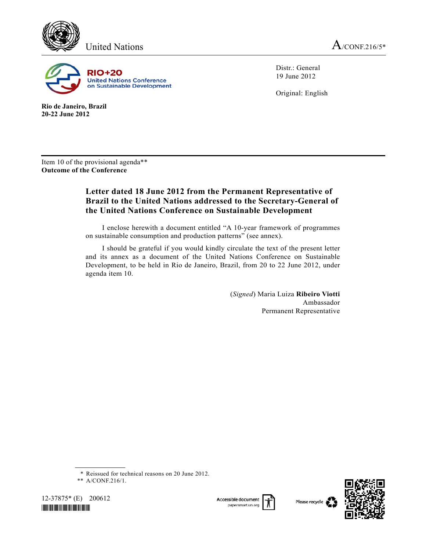



**Rio de Janeiro, Brazil 20-22 June 2012** 

Distr.: General 19 June 2012

Original: English

Item 10 of the provisional agenda\*\* **Outcome of the Conference** 

# **Letter dated 18 June 2012 from the Permanent Representative of Brazil to the United Nations addressed to the Secretary-General of the United Nations Conference on Sustainable Development**

 I enclose herewith a document entitled "A 10-year framework of programmes on sustainable consumption and production patterns" (see annex).

 I should be grateful if you would kindly circulate the text of the present letter and its annex as a document of the United Nations Conference on Sustainable Development, to be held in Rio de Janeiro, Brazil, from 20 to 22 June 2012, under agenda item 10.

> (*Signed*) Maria Luiza **Ribeiro Viotti** Ambassador Permanent Representative

 <sup>\*\*</sup> A/CONF.216/1.



Accessible document papersmart.un.org





<sup>\*</sup> Reissued for technical reasons on 20 June 2012.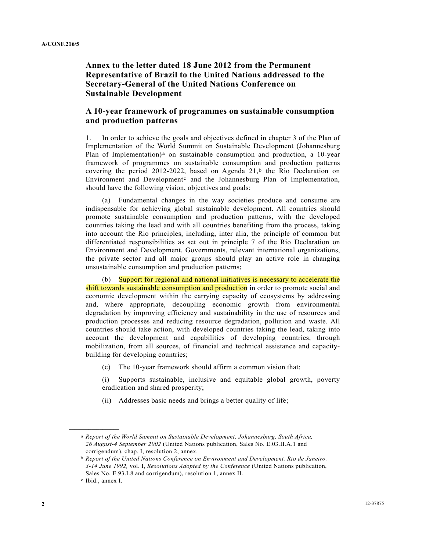## **Annex to the letter dated 18 June 2012 from the Permanent Representative of Brazil to the United Nations addressed to the Secretary-General of the United Nations Conference on Sustainable Development**

## **A 10-year framework of programmes on sustainable consumption and production patterns**

1. In order to achieve the goals and objectives defined in chapter 3 of the Plan of Implementation of the World Summit on Sustainable Development (Johannesburg Pl[a](#page-1-0)n of Implementation)<sup>a</sup> on sustainable consumption and production, a 10-year framework of programmes on sustainable consumption and production patterns covering the period 2012-2022, [b](#page-1-1)ased on Agenda  $21$ ,<sup>b</sup> the Rio Declaration on Environment and Development<sup>[c](#page-1-2)</sup> and the Johannesburg Plan of Implementation, should have the following vision, objectives and goals:

 (a) Fundamental changes in the way societies produce and consume are indispensable for achieving global sustainable development. All countries should promote sustainable consumption and production patterns, with the developed countries taking the lead and with all countries benefiting from the process, taking into account the Rio principles, including, inter alia, the principle of common but differentiated responsibilities as set out in principle 7 of the Rio Declaration on Environment and Development. Governments, relevant international organizations, the private sector and all major groups should play an active role in changing unsustainable consumption and production patterns;

 (b) Support for regional and national initiatives is necessary to accelerate the shift towards sustainable consumption and production in order to promote social and economic development within the carrying capacity of ecosystems by addressing and, where appropriate, decoupling economic growth from environmental degradation by improving efficiency and sustainability in the use of resources and production processes and reducing resource degradation, pollution and waste. All countries should take action, with developed countries taking the lead, taking into account the development and capabilities of developing countries, through mobilization, from all sources, of financial and technical assistance and capacitybuilding for developing countries;

(c) The 10-year framework should affirm a common vision that:

 (i) Supports sustainable, inclusive and equitable global growth, poverty eradication and shared prosperity;

(ii) Addresses basic needs and brings a better quality of life;

<span id="page-1-1"></span><span id="page-1-0"></span>**\_\_\_\_\_\_\_\_\_\_\_\_\_\_\_\_\_\_** 

a *Report of the World Summit on Sustainable Development, Johannesburg, South Africa, 26 August-4 September 2002* (United Nations publication, Sales No. E.03.II.A.1 and corrigendum), chap. I, resolution 2, annex.

b *Report of the United Nations Conference on Environment and Development, Rio de Janeiro, 3-14 June 1992,* vol. I, *Resolutions Adopted by the Conference* (United Nations publication, Sales No. E.93.I.8 and corrigendum), resolution 1, annex II.

<span id="page-1-2"></span>c Ibid., annex I.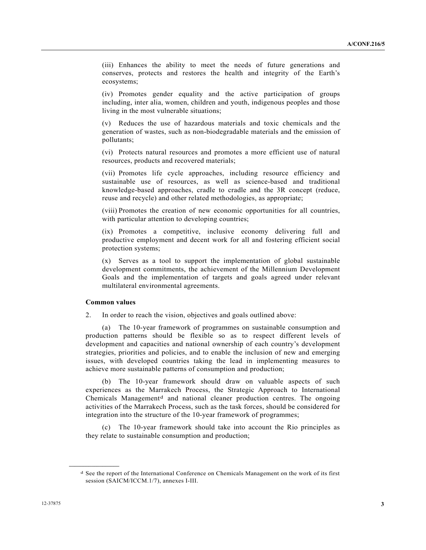(iii) Enhances the ability to meet the needs of future generations and conserves, protects and restores the health and integrity of the Earth's ecosystems;

(iv) Promotes gender equality and the active participation of groups including, inter alia, women, children and youth, indigenous peoples and those living in the most vulnerable situations;

(v) Reduces the use of hazardous materials and toxic chemicals and the generation of wastes, such as non-biodegradable materials and the emission of pollutants;

(vi) Protects natural resources and promotes a more efficient use of natural resources, products and recovered materials;

(vii) Promotes life cycle approaches, including resource efficiency and sustainable use of resources, as well as science-based and traditional knowledge-based approaches, cradle to cradle and the 3R concept (reduce, reuse and recycle) and other related methodologies, as appropriate;

(viii) Promotes the creation of new economic opportunities for all countries, with particular attention to developing countries;

(ix) Promotes a competitive, inclusive economy delivering full and productive employment and decent work for all and fostering efficient social protection systems;

(x) Serves as a tool to support the implementation of global sustainable development commitments, the achievement of the Millennium Development Goals and the implementation of targets and goals agreed under relevant multilateral environmental agreements.

#### **Common values**

<span id="page-2-0"></span>**\_\_\_\_\_\_\_\_\_\_\_\_\_\_\_\_\_\_** 

2. In order to reach the vision, objectives and goals outlined above:

 (a) The 10-year framework of programmes on sustainable consumption and production patterns should be flexible so as to respect different levels of development and capacities and national ownership of each country's development strategies, priorities and policies, and to enable the inclusion of new and emerging issues, with developed countries taking the lead in implementing measures to achieve more sustainable patterns of consumption and production;

 (b) The 10-year framework should draw on valuable aspects of such experiences as the Marrakech Process, the Strategic Approach to International Chemicals Management<sup>[d](#page-2-0)</sup> and national cleaner production centres. The ongoing activities of the Marrakech Process, such as the task forces, should be considered for integration into the structure of the 10-year framework of programmes;

 (c) The 10-year framework should take into account the Rio principles as they relate to sustainable consumption and production;

d See the report of the International Conference on Chemicals Management on the work of its first session (SAICM/ICCM.1/7), annexes I-III.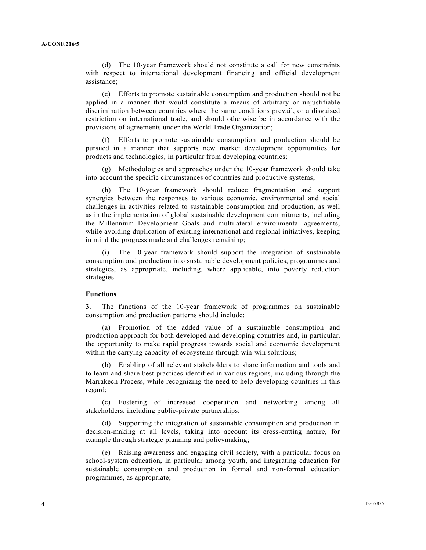(d) The 10-year framework should not constitute a call for new constraints with respect to international development financing and official development assistance;

 (e) Efforts to promote sustainable consumption and production should not be applied in a manner that would constitute a means of arbitrary or unjustifiable discrimination between countries where the same conditions prevail, or a disguised restriction on international trade, and should otherwise be in accordance with the provisions of agreements under the World Trade Organization;

 (f) Efforts to promote sustainable consumption and production should be pursued in a manner that supports new market development opportunities for products and technologies, in particular from developing countries;

 (g) Methodologies and approaches under the 10-year framework should take into account the specific circumstances of countries and productive systems;

 (h) The 10-year framework should reduce fragmentation and support synergies between the responses to various economic, environmental and social challenges in activities related to sustainable consumption and production, as well as in the implementation of global sustainable development commitments, including the Millennium Development Goals and multilateral environmental agreements, while avoiding duplication of existing international and regional initiatives, keeping in mind the progress made and challenges remaining;

 (i) The 10-year framework should support the integration of sustainable consumption and production into sustainable development policies, programmes and strategies, as appropriate, including, where applicable, into poverty reduction strategies.

## **Functions**

3. The functions of the 10-year framework of programmes on sustainable consumption and production patterns should include:

 (a) Promotion of the added value of a sustainable consumption and production approach for both developed and developing countries and, in particular, the opportunity to make rapid progress towards social and economic development within the carrying capacity of ecosystems through win-win solutions;

 (b) Enabling of all relevant stakeholders to share information and tools and to learn and share best practices identified in various regions, including through the Marrakech Process, while recognizing the need to help developing countries in this regard;

 (c) Fostering of increased cooperation and networking among all stakeholders, including public-private partnerships;

 (d) Supporting the integration of sustainable consumption and production in decision-making at all levels, taking into account its cross-cutting nature, for example through strategic planning and policymaking;

 (e) Raising awareness and engaging civil society, with a particular focus on school-system education, in particular among youth, and integrating education for sustainable consumption and production in formal and non-formal education programmes, as appropriate;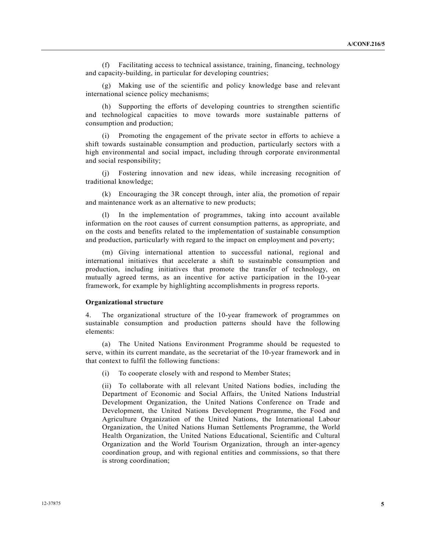(f) Facilitating access to technical assistance, training, financing, technology and capacity-building, in particular for developing countries;

 (g) Making use of the scientific and policy knowledge base and relevant international science policy mechanisms;

 (h) Supporting the efforts of developing countries to strengthen scientific and technological capacities to move towards more sustainable patterns of consumption and production;

 (i) Promoting the engagement of the private sector in efforts to achieve a shift towards sustainable consumption and production, particularly sectors with a high environmental and social impact, including through corporate environmental and social responsibility;

 (j) Fostering innovation and new ideas, while increasing recognition of traditional knowledge;

 (k) Encouraging the 3R concept through, inter alia, the promotion of repair and maintenance work as an alternative to new products;

 (l) In the implementation of programmes, taking into account available information on the root causes of current consumption patterns, as appropriate, and on the costs and benefits related to the implementation of sustainable consumption and production, particularly with regard to the impact on employment and poverty;

 (m) Giving international attention to successful national, regional and international initiatives that accelerate a shift to sustainable consumption and production, including initiatives that promote the transfer of technology, on mutually agreed terms, as an incentive for active participation in the 10-year framework, for example by highlighting accomplishments in progress reports.

#### **Organizational structure**

4. The organizational structure of the 10-year framework of programmes on sustainable consumption and production patterns should have the following elements:

 (a) The United Nations Environment Programme should be requested to serve, within its current mandate, as the secretariat of the 10-year framework and in that context to fulfil the following functions:

(i) To cooperate closely with and respond to Member States;

 (ii) To collaborate with all relevant United Nations bodies, including the Department of Economic and Social Affairs, the United Nations Industrial Development Organization, the United Nations Conference on Trade and Development, the United Nations Development Programme, the Food and Agriculture Organization of the United Nations, the International Labour Organization, the United Nations Human Settlements Programme, the World Health Organization, the United Nations Educational, Scientific and Cultural Organization and the World Tourism Organization, through an inter-agency coordination group, and with regional entities and commissions, so that there is strong coordination;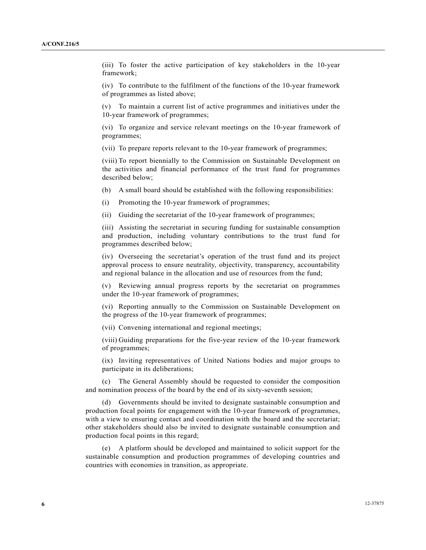(iii) To foster the active participation of key stakeholders in the 10-year framework;

 (iv) To contribute to the fulfilment of the functions of the 10-year framework of programmes as listed above;

 (v) To maintain a current list of active programmes and initiatives under the 10-year framework of programmes;

 (vi) To organize and service relevant meetings on the 10-year framework of programmes;

(vii) To prepare reports relevant to the 10-year framework of programmes;

 (viii) To report biennially to the Commission on Sustainable Development on the activities and financial performance of the trust fund for programmes described below;

(b) A small board should be established with the following responsibilities:

(i) Promoting the 10-year framework of programmes;

(ii) Guiding the secretariat of the 10-year framework of programmes;

 (iii) Assisting the secretariat in securing funding for sustainable consumption and production, including voluntary contributions to the trust fund for programmes described below;

 (iv) Overseeing the secretariat's operation of the trust fund and its project approval process to ensure neutrality, objectivity, transparency, accountability and regional balance in the allocation and use of resources from the fund;

 (v) Reviewing annual progress reports by the secretariat on programmes under the 10-year framework of programmes;

 (vi) Reporting annually to the Commission on Sustainable Development on the progress of the 10-year framework of programmes;

(vii) Convening international and regional meetings;

 (viii) Guiding preparations for the five-year review of the 10-year framework of programmes;

 (ix) Inviting representatives of United Nations bodies and major groups to participate in its deliberations;

 (c) The General Assembly should be requested to consider the composition and nomination process of the board by the end of its sixty-seventh session;

 (d) Governments should be invited to designate sustainable consumption and production focal points for engagement with the 10-year framework of programmes, with a view to ensuring contact and coordination with the board and the secretariat; other stakeholders should also be invited to designate sustainable consumption and production focal points in this regard;

 (e) A platform should be developed and maintained to solicit support for the sustainable consumption and production programmes of developing countries and countries with economies in transition, as appropriate.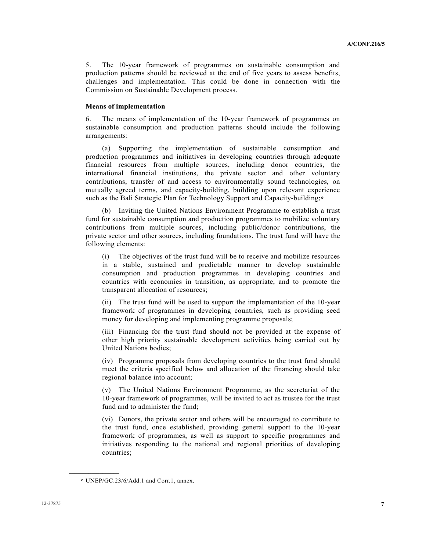5. The 10-year framework of programmes on sustainable consumption and production patterns should be reviewed at the end of five years to assess benefits, challenges and implementation. This could be done in connection with the Commission on Sustainable Development process.

## **Means of implementation**

6. The means of implementation of the 10-year framework of programmes on sustainable consumption and production patterns should include the following arrangements:

 (a) Supporting the implementation of sustainable consumption and production programmes and initiatives in developing countries through adequate financial resources from multiple sources, including donor countries, the international financial institutions, the private sector and other voluntary contributions, transfer of and access to environmentally sound technologies, on mutually agreed terms, and capacity-building, building upon relevant experience such as th[e](#page-6-0) Bali Strategic Plan for Technology Support and Capacity-building;<sup>e</sup>

 (b) Inviting the United Nations Environment Programme to establish a trust fund for sustainable consumption and production programmes to mobilize voluntary contributions from multiple sources, including public/donor contributions, the private sector and other sources, including foundations. The trust fund will have the following elements:

 (i) The objectives of the trust fund will be to receive and mobilize resources in a stable, sustained and predictable manner to develop sustainable consumption and production programmes in developing countries and countries with economies in transition, as appropriate, and to promote the transparent allocation of resources;

 (ii) The trust fund will be used to support the implementation of the 10-year framework of programmes in developing countries, such as providing seed money for developing and implementing programme proposals;

 (iii) Financing for the trust fund should not be provided at the expense of other high priority sustainable development activities being carried out by United Nations bodies;

 (iv) Programme proposals from developing countries to the trust fund should meet the criteria specified below and allocation of the financing should take regional balance into account;

 (v) The United Nations Environment Programme, as the secretariat of the 10-year framework of programmes, will be invited to act as trustee for the trust fund and to administer the fund;

 (vi) Donors, the private sector and others will be encouraged to contribute to the trust fund, once established, providing general support to the 10-year framework of programmes, as well as support to specific programmes and initiatives responding to the national and regional priorities of developing countries;

<span id="page-6-0"></span>**\_\_\_\_\_\_\_\_\_\_\_\_\_\_\_\_\_\_** 

e UNEP/GC.23/6/Add.1 and Corr.1, annex.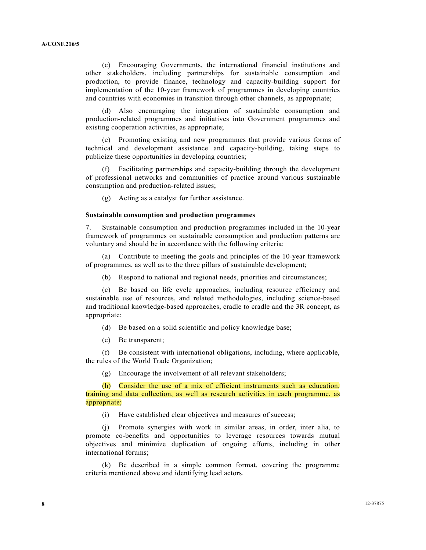(c) Encouraging Governments, the international financial institutions and other stakeholders, including partnerships for sustainable consumption and production, to provide finance, technology and capacity-building support for implementation of the 10-year framework of programmes in developing countries and countries with economies in transition through other channels, as appropriate;

 (d) Also encouraging the integration of sustainable consumption and production-related programmes and initiatives into Government programmes and existing cooperation activities, as appropriate;

 (e) Promoting existing and new programmes that provide various forms of technical and development assistance and capacity-building, taking steps to publicize these opportunities in developing countries;

 (f) Facilitating partnerships and capacity-building through the development of professional networks and communities of practice around various sustainable consumption and production-related issues;

(g) Acting as a catalyst for further assistance.

### **Sustainable consumption and production programmes**

7. Sustainable consumption and production programmes included in the 10-year framework of programmes on sustainable consumption and production patterns are voluntary and should be in accordance with the following criteria:

 (a) Contribute to meeting the goals and principles of the 10-year framework of programmes, as well as to the three pillars of sustainable development;

(b) Respond to national and regional needs, priorities and circumstances;

 (c) Be based on life cycle approaches, including resource efficiency and sustainable use of resources, and related methodologies, including science-based and traditional knowledge-based approaches, cradle to cradle and the 3R concept, as appropriate;

(d) Be based on a solid scientific and policy knowledge base;

(e) Be transparent;

 (f) Be consistent with international obligations, including, where applicable, the rules of the World Trade Organization;

(g) Encourage the involvement of all relevant stakeholders;

 (h) Consider the use of a mix of efficient instruments such as education, training and data collection, as well as research activities in each programme, as appropriate;

(i) Have established clear objectives and measures of success;

 (j) Promote synergies with work in similar areas, in order, inter alia, to promote co-benefits and opportunities to leverage resources towards mutual objectives and minimize duplication of ongoing efforts, including in other international forums;

 (k) Be described in a simple common format, covering the programme criteria mentioned above and identifying lead actors.